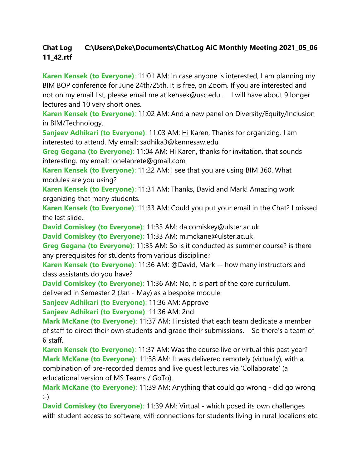## **Chat Log C:\Users\Deke\Documents\ChatLog AiC Monthly Meeting 2021\_05\_06 11\_42.rtf**

**Karen Kensek (to Everyone)**: 11:01 AM: In case anyone is interested, I am planning my BIM BOP conference for June 24th/25th. It is free, on Zoom. If you are interested and not on my email list, please email me at kensek@usc.edu . I will have about 9 longer lectures and 10 very short ones.

**Karen Kensek (to Everyone)**: 11:02 AM: And a new panel on Diversity/Equity/Inclusion in BIM/Technology.

**Sanjeev Adhikari (to Everyone)**: 11:03 AM: Hi Karen, Thanks for organizing. I am interested to attend. My email: sadhika3@kennesaw.edu

**Greg Gegana (to Everyone)**: 11:04 AM: Hi Karen, thanks for invitation. that sounds interesting. my email: lonelanrete@gmail.com

**Karen Kensek (to Everyone)**: 11:22 AM: I see that you are using BIM 360. What modules are you using?

**Karen Kensek (to Everyone)**: 11:31 AM: Thanks, David and Mark! Amazing work organizing that many students.

**Karen Kensek (to Everyone)**: 11:33 AM: Could you put your email in the Chat? I missed the last slide.

**David Comiskey (to Everyone)**: 11:33 AM: da.comiskey@ulster.ac.uk

**David Comiskey (to Everyone)**: 11:33 AM: m.mckane@ulster.ac.uk

**Greg Gegana (to Everyone)**: 11:35 AM: So is it conducted as summer course? is there any prerequisites for students from various discipline?

**Karen Kensek (to Everyone)**: 11:36 AM: @David, Mark -- how many instructors and class assistants do you have?

**David Comiskey (to Everyone)**: 11:36 AM: No, it is part of the core curriculum,

delivered in Semester 2 (Jan - May) as a bespoke module

**Sanjeev Adhikari (to Everyone)**: 11:36 AM: Approve

**Sanjeev Adhikari (to Everyone)**: 11:36 AM: 2nd

**Mark McKane (to Everyone)**: 11:37 AM: I insisted that each team dedicate a member of staff to direct their own students and grade their submissions. So there's a team of 6 staff.

**Karen Kensek (to Everyone)**: 11:37 AM: Was the course live or virtual this past year? **Mark McKane (to Everyone)**: 11:38 AM: It was delivered remotely (virtually), with a combination of pre-recorded demos and live guest lectures via 'Collaborate' (a educational version of MS Teams / GoTo).

**Mark McKane (to Everyone)**: 11:39 AM: Anything that could go wrong - did go wrong :-)

**David Comiskey (to Everyone)**: 11:39 AM: Virtual - which posed its own challenges with student access to software, wifi connections for students living in rural localions etc.